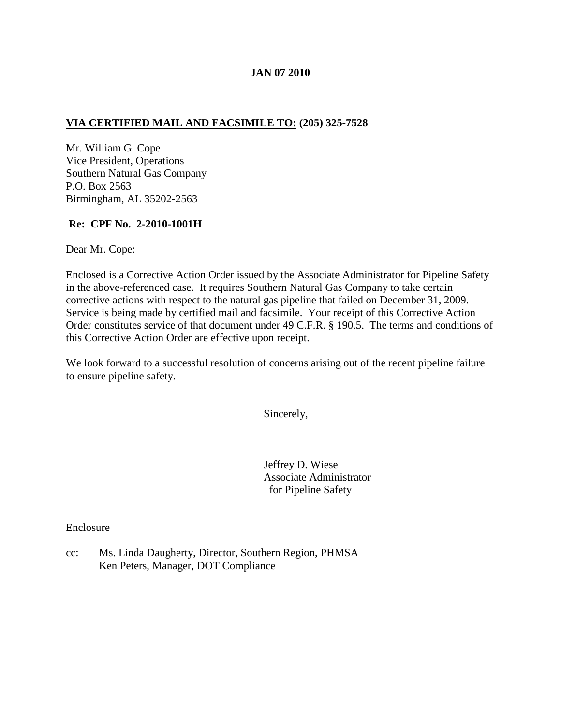### **JAN 07 2010**

## **VIA CERTIFIED MAIL AND FACSIMILE TO: (205) 325-7528**

Mr. William G. Cope Vice President, Operations Southern Natural Gas Company P.O. Box 2563 Birmingham, AL 35202-2563

## **Re: CPF No. 2-2010-1001H**

Dear Mr. Cope:

Enclosed is a Corrective Action Order issued by the Associate Administrator for Pipeline Safety in the above-referenced case. It requires Southern Natural Gas Company to take certain corrective actions with respect to the natural gas pipeline that failed on December 31, 2009. Service is being made by certified mail and facsimile. Your receipt of this Corrective Action Order constitutes service of that document under 49 C.F.R. § 190.5. The terms and conditions of this Corrective Action Order are effective upon receipt.

We look forward to a successful resolution of concerns arising out of the recent pipeline failure to ensure pipeline safety.

Sincerely,

Jeffrey D. Wiese Associate Administrator for Pipeline Safety

Enclosure

cc: Ms. Linda Daugherty, Director, Southern Region, PHMSA Ken Peters, Manager, DOT Compliance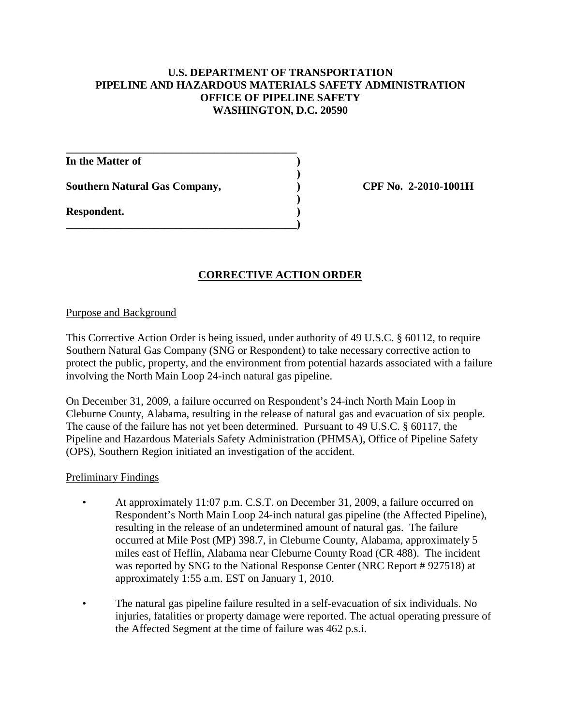## **U.S. DEPARTMENT OF TRANSPORTATION PIPELINE AND HAZARDOUS MATERIALS SAFETY ADMINISTRATION OFFICE OF PIPELINE SAFETY WASHINGTON, D.C. 20590**

**)**

**)**

**In the Matter of )**

**Southern Natural Gas Company, ) CPF No. 2-2010-1001H**

**\_\_\_\_\_\_\_\_\_\_\_\_\_\_\_\_\_\_\_\_\_\_\_\_\_\_\_\_\_\_\_\_\_\_\_\_\_\_\_\_\_\_**

**\_\_\_\_\_\_\_\_\_\_\_\_\_\_\_\_\_\_\_\_\_\_\_\_\_\_\_\_\_\_\_\_\_\_\_\_\_\_\_\_\_\_)**

**Respondent. )**

# **CORRECTIVE ACTION ORDER**

### Purpose and Background

This Corrective Action Order is being issued, under authority of 49 U.S.C. § 60112, to require Southern Natural Gas Company (SNG or Respondent) to take necessary corrective action to protect the public, property, and the environment from potential hazards associated with a failure involving the North Main Loop 24-inch natural gas pipeline.

On December 31, 2009, a failure occurred on Respondent's 24-inch North Main Loop in Cleburne County, Alabama, resulting in the release of natural gas and evacuation of six people. The cause of the failure has not yet been determined. Pursuant to 49 U.S.C. § 60117, the Pipeline and Hazardous Materials Safety Administration (PHMSA), Office of Pipeline Safety (OPS), Southern Region initiated an investigation of the accident.

### Preliminary Findings

- At approximately 11:07 p.m. C.S.T. on December 31, 2009, a failure occurred on Respondent's North Main Loop 24-inch natural gas pipeline (the Affected Pipeline), resulting in the release of an undetermined amount of natural gas. The failure occurred at Mile Post (MP) 398.7, in Cleburne County, Alabama, approximately 5 miles east of Heflin, Alabama near Cleburne County Road (CR 488). The incident was reported by SNG to the National Response Center (NRC Report # 927518) at approximately 1:55 a.m. EST on January 1, 2010.
- The natural gas pipeline failure resulted in a self-evacuation of six individuals. No injuries, fatalities or property damage were reported. The actual operating pressure of the Affected Segment at the time of failure was 462 p.s.i.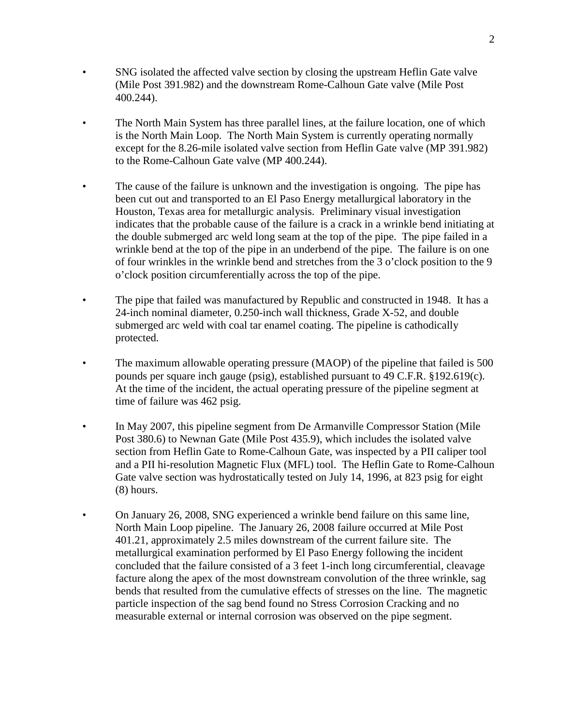- SNG isolated the affected valve section by closing the upstream Heflin Gate valve (Mile Post 391.982) and the downstream Rome-Calhoun Gate valve (Mile Post 400.244).
- The North Main System has three parallel lines, at the failure location, one of which is the North Main Loop. The North Main System is currently operating normally except for the 8.26-mile isolated valve section from Heflin Gate valve (MP 391.982) to the Rome-Calhoun Gate valve (MP 400.244).
- The cause of the failure is unknown and the investigation is ongoing. The pipe has been cut out and transported to an El Paso Energy metallurgical laboratory in the Houston, Texas area for metallurgic analysis. Preliminary visual investigation indicates that the probable cause of the failure is a crack in a wrinkle bend initiating at the double submerged arc weld long seam at the top of the pipe. The pipe failed in a wrinkle bend at the top of the pipe in an underbend of the pipe. The failure is on one of four wrinkles in the wrinkle bend and stretches from the 3 o'clock position to the 9 o'clock position circumferentially across the top of the pipe.
- The pipe that failed was manufactured by Republic and constructed in 1948. It has a 24-inch nominal diameter, 0.250-inch wall thickness, Grade X-52, and double submerged arc weld with coal tar enamel coating. The pipeline is cathodically protected.
- The maximum allowable operating pressure (MAOP) of the pipeline that failed is 500 pounds per square inch gauge (psig), established pursuant to 49 C.F.R. §192.619(c). At the time of the incident, the actual operating pressure of the pipeline segment at time of failure was 462 psig.
- In May 2007, this pipeline segment from De Armanville Compressor Station (Mile Post 380.6) to Newnan Gate (Mile Post 435.9), which includes the isolated valve section from Heflin Gate to Rome-Calhoun Gate, was inspected by a PII caliper tool and a PII hi-resolution Magnetic Flux (MFL) tool. The Heflin Gate to Rome-Calhoun Gate valve section was hydrostatically tested on July 14, 1996, at 823 psig for eight (8) hours.
- On January 26, 2008, SNG experienced a wrinkle bend failure on this same line, North Main Loop pipeline. The January 26, 2008 failure occurred at Mile Post 401.21, approximately 2.5 miles downstream of the current failure site. The metallurgical examination performed by El Paso Energy following the incident concluded that the failure consisted of a 3 feet 1-inch long circumferential, cleavage facture along the apex of the most downstream convolution of the three wrinkle, sag bends that resulted from the cumulative effects of stresses on the line. The magnetic particle inspection of the sag bend found no Stress Corrosion Cracking and no measurable external or internal corrosion was observed on the pipe segment.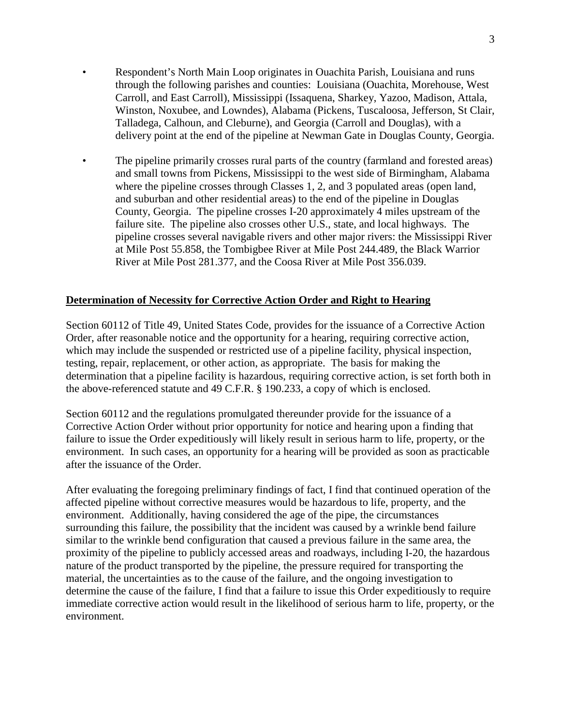- Respondent's North Main Loop originates in Ouachita Parish, Louisiana and runs through the following parishes and counties: Louisiana (Ouachita, Morehouse, West Carroll, and East Carroll), Mississippi (Issaquena, Sharkey, Yazoo, Madison, Attala, Winston, Noxubee, and Lowndes), Alabama (Pickens, Tuscaloosa, Jefferson, St Clair, Talladega, Calhoun, and Cleburne), and Georgia (Carroll and Douglas), with a delivery point at the end of the pipeline at Newman Gate in Douglas County, Georgia.
- The pipeline primarily crosses rural parts of the country (farmland and forested areas) and small towns from Pickens, Mississippi to the west side of Birmingham, Alabama where the pipeline crosses through Classes 1, 2, and 3 populated areas (open land, and suburban and other residential areas) to the end of the pipeline in Douglas County, Georgia. The pipeline crosses I-20 approximately 4 miles upstream of the failure site. The pipeline also crosses other U.S., state, and local highways. The pipeline crosses several navigable rivers and other major rivers: the Mississippi River at Mile Post 55.858, the Tombigbee River at Mile Post 244.489, the Black Warrior River at Mile Post 281.377, and the Coosa River at Mile Post 356.039.

### **Determination of Necessity for Corrective Action Order and Right to Hearing**

Section 60112 of Title 49, United States Code, provides for the issuance of a Corrective Action Order, after reasonable notice and the opportunity for a hearing, requiring corrective action, which may include the suspended or restricted use of a pipeline facility, physical inspection, testing, repair, replacement, or other action, as appropriate. The basis for making the determination that a pipeline facility is hazardous, requiring corrective action, is set forth both in the above-referenced statute and 49 C.F.R. § 190.233, a copy of which is enclosed.

Section 60112 and the regulations promulgated thereunder provide for the issuance of a Corrective Action Order without prior opportunity for notice and hearing upon a finding that failure to issue the Order expeditiously will likely result in serious harm to life, property, or the environment. In such cases, an opportunity for a hearing will be provided as soon as practicable after the issuance of the Order.

After evaluating the foregoing preliminary findings of fact, I find that continued operation of the affected pipeline without corrective measures would be hazardous to life, property, and the environment. Additionally, having considered the age of the pipe, the circumstances surrounding this failure, the possibility that the incident was caused by a wrinkle bend failure similar to the wrinkle bend configuration that caused a previous failure in the same area, the proximity of the pipeline to publicly accessed areas and roadways, including I-20, the hazardous nature of the product transported by the pipeline, the pressure required for transporting the material, the uncertainties as to the cause of the failure, and the ongoing investigation to determine the cause of the failure, I find that a failure to issue this Order expeditiously to require immediate corrective action would result in the likelihood of serious harm to life, property, or the environment.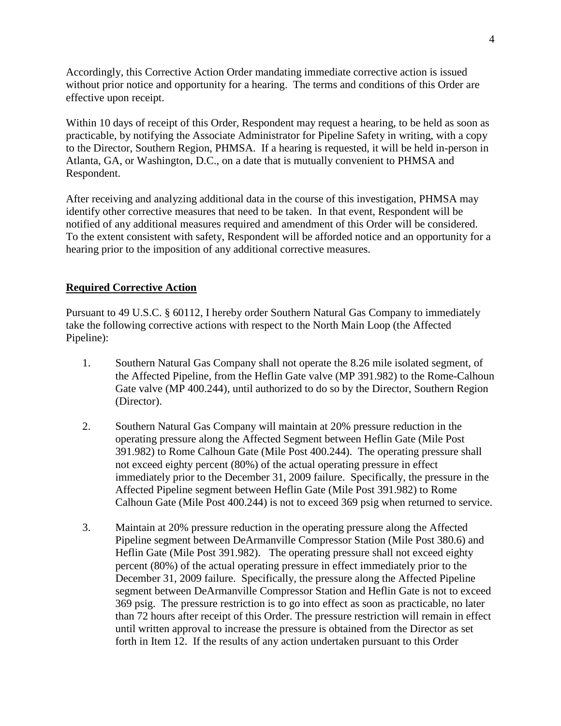Accordingly, this Corrective Action Order mandating immediate corrective action is issued without prior notice and opportunity for a hearing. The terms and conditions of this Order are effective upon receipt.

Within 10 days of receipt of this Order, Respondent may request a hearing, to be held as soon as practicable, by notifying the Associate Administrator for Pipeline Safety in writing, with a copy to the Director, Southern Region, PHMSA. If a hearing is requested, it will be held in-person in Atlanta, GA, or Washington, D.C., on a date that is mutually convenient to PHMSA and Respondent.

After receiving and analyzing additional data in the course of this investigation, PHMSA may identify other corrective measures that need to be taken. In that event, Respondent will be notified of any additional measures required and amendment of this Order will be considered. To the extent consistent with safety, Respondent will be afforded notice and an opportunity for a hearing prior to the imposition of any additional corrective measures.

## **Required Corrective Action**

Pursuant to 49 U.S.C. § 60112, I hereby order Southern Natural Gas Company to immediately take the following corrective actions with respect to the North Main Loop (the Affected Pipeline):

- 1. Southern Natural Gas Company shall not operate the 8.26 mile isolated segment, of the Affected Pipeline, from the Heflin Gate valve (MP 391.982) to the Rome-Calhoun Gate valve (MP 400.244), until authorized to do so by the Director, Southern Region (Director).
- 2. Southern Natural Gas Company will maintain at 20% pressure reduction in the operating pressure along the Affected Segment between Heflin Gate (Mile Post 391.982) to Rome Calhoun Gate (Mile Post 400.244). The operating pressure shall not exceed eighty percent (80%) of the actual operating pressure in effect immediately prior to the December 31, 2009 failure. Specifically, the pressure in the Affected Pipeline segment between Heflin Gate (Mile Post 391.982) to Rome Calhoun Gate (Mile Post 400.244) is not to exceed 369 psig when returned to service.
- 3. Maintain at 20% pressure reduction in the operating pressure along the Affected Pipeline segment between DeArmanville Compressor Station (Mile Post 380.6) and Heflin Gate (Mile Post 391.982).The operating pressure shall not exceed eighty percent (80%) of the actual operating pressure in effect immediately prior to the December 31, 2009 failure. Specifically, the pressure along the Affected Pipeline segment between DeArmanville Compressor Station and Heflin Gate is not to exceed 369 psig. The pressure restriction is to go into effect as soon as practicable, no later than 72 hours after receipt of this Order. The pressure restriction will remain in effect until written approval to increase the pressure is obtained from the Director as set forth in Item 12. If the results of any action undertaken pursuant to this Order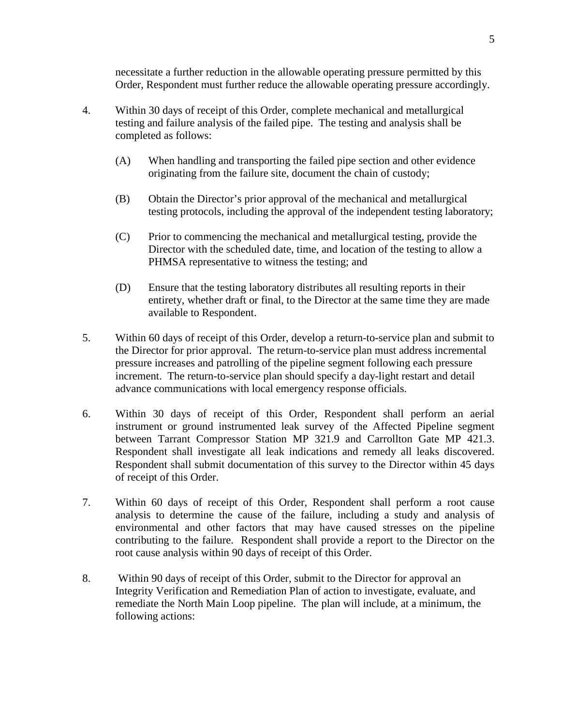necessitate a further reduction in the allowable operating pressure permitted by this Order, Respondent must further reduce the allowable operating pressure accordingly.

- 4. Within 30 days of receipt of this Order, complete mechanical and metallurgical testing and failure analysis of the failed pipe. The testing and analysis shall be completed as follows:
	- (A) When handling and transporting the failed pipe section and other evidence originating from the failure site, document the chain of custody;
	- (B) Obtain the Director's prior approval of the mechanical and metallurgical testing protocols, including the approval of the independent testing laboratory;
	- (C) Prior to commencing the mechanical and metallurgical testing, provide the Director with the scheduled date, time, and location of the testing to allow a PHMSA representative to witness the testing; and
	- (D) Ensure that the testing laboratory distributes all resulting reports in their entirety, whether draft or final, to the Director at the same time they are made available to Respondent.
- 5. Within 60 days of receipt of this Order, develop a return-to-service plan and submit to the Director for prior approval. The return-to-service plan must address incremental pressure increases and patrolling of the pipeline segment following each pressure increment. The return-to-service plan should specify a day-light restart and detail advance communications with local emergency response officials.
- 6. Within 30 days of receipt of this Order, Respondent shall perform an aerial instrument or ground instrumented leak survey of the Affected Pipeline segment between Tarrant Compressor Station MP 321.9 and Carrollton Gate MP 421.3. Respondent shall investigate all leak indications and remedy all leaks discovered. Respondent shall submit documentation of this survey to the Director within 45 days of receipt of this Order.
- 7. Within 60 days of receipt of this Order, Respondent shall perform a root cause analysis to determine the cause of the failure, including a study and analysis of environmental and other factors that may have caused stresses on the pipeline contributing to the failure. Respondent shall provide a report to the Director on the root cause analysis within 90 days of receipt of this Order.
- 8. Within 90 days of receipt of this Order, submit to the Director for approval an Integrity Verification and Remediation Plan of action to investigate, evaluate, and remediate the North Main Loop pipeline. The plan will include, at a minimum, the following actions: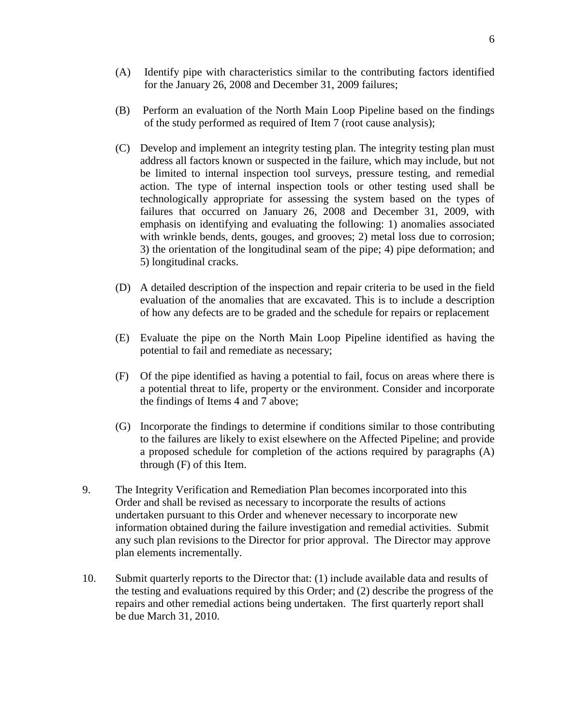- (A) Identify pipe with characteristics similar to the contributing factors identified for the January 26, 2008 and December 31, 2009 failures;
- (B) Perform an evaluation of the North Main Loop Pipeline based on the findings of the study performed as required of Item 7 (root cause analysis);
- (C) Develop and implement an integrity testing plan. The integrity testing plan must address all factors known or suspected in the failure, which may include, but not be limited to internal inspection tool surveys, pressure testing, and remedial action. The type of internal inspection tools or other testing used shall be technologically appropriate for assessing the system based on the types of failures that occurred on January 26, 2008 and December 31, 2009, with emphasis on identifying and evaluating the following: 1) anomalies associated with wrinkle bends, dents, gouges, and grooves; 2) metal loss due to corrosion; 3) the orientation of the longitudinal seam of the pipe; 4) pipe deformation; and 5) longitudinal cracks.
- (D) A detailed description of the inspection and repair criteria to be used in the field evaluation of the anomalies that are excavated. This is to include a description of how any defects are to be graded and the schedule for repairs or replacement
- (E) Evaluate the pipe on the North Main Loop Pipeline identified as having the potential to fail and remediate as necessary;
- (F) Of the pipe identified as having a potential to fail, focus on areas where there is a potential threat to life, property or the environment. Consider and incorporate the findings of Items 4 and 7 above;
- (G) Incorporate the findings to determine if conditions similar to those contributing to the failures are likely to exist elsewhere on the Affected Pipeline; and provide a proposed schedule for completion of the actions required by paragraphs (A) through (F) of this Item.
- 9. The Integrity Verification and Remediation Plan becomes incorporated into this Order and shall be revised as necessary to incorporate the results of actions undertaken pursuant to this Order and whenever necessary to incorporate new information obtained during the failure investigation and remedial activities. Submit any such plan revisions to the Director for prior approval. The Director may approve plan elements incrementally.
- 10. Submit quarterly reports to the Director that: (1) include available data and results of the testing and evaluations required by this Order; and (2) describe the progress of the repairs and other remedial actions being undertaken. The first quarterly report shall be due March 31, 2010.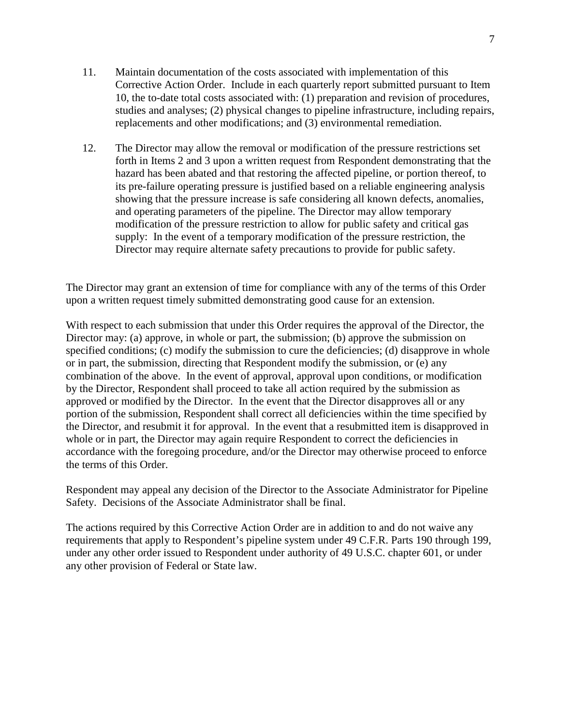- 11. Maintain documentation of the costs associated with implementation of this Corrective Action Order. Include in each quarterly report submitted pursuant to Item 10, the to-date total costs associated with: (1) preparation and revision of procedures, studies and analyses; (2) physical changes to pipeline infrastructure, including repairs, replacements and other modifications; and (3) environmental remediation.
- 12. The Director may allow the removal or modification of the pressure restrictions set forth in Items 2 and 3 upon a written request from Respondent demonstrating that the hazard has been abated and that restoring the affected pipeline, or portion thereof, to its pre-failure operating pressure is justified based on a reliable engineering analysis showing that the pressure increase is safe considering all known defects, anomalies, and operating parameters of the pipeline. The Director may allow temporary modification of the pressure restriction to allow for public safety and critical gas supply: In the event of a temporary modification of the pressure restriction, the Director may require alternate safety precautions to provide for public safety.

The Director may grant an extension of time for compliance with any of the terms of this Order upon a written request timely submitted demonstrating good cause for an extension.

With respect to each submission that under this Order requires the approval of the Director, the Director may: (a) approve, in whole or part, the submission; (b) approve the submission on specified conditions; (c) modify the submission to cure the deficiencies; (d) disapprove in whole or in part, the submission, directing that Respondent modify the submission, or (e) any combination of the above. In the event of approval, approval upon conditions, or modification by the Director, Respondent shall proceed to take all action required by the submission as approved or modified by the Director. In the event that the Director disapproves all or any portion of the submission, Respondent shall correct all deficiencies within the time specified by the Director, and resubmit it for approval. In the event that a resubmitted item is disapproved in whole or in part, the Director may again require Respondent to correct the deficiencies in accordance with the foregoing procedure, and/or the Director may otherwise proceed to enforce the terms of this Order.

Respondent may appeal any decision of the Director to the Associate Administrator for Pipeline Safety. Decisions of the Associate Administrator shall be final.

The actions required by this Corrective Action Order are in addition to and do not waive any requirements that apply to Respondent's pipeline system under 49 C.F.R. Parts 190 through 199, under any other order issued to Respondent under authority of 49 U.S.C. chapter 601, or under any other provision of Federal or State law.